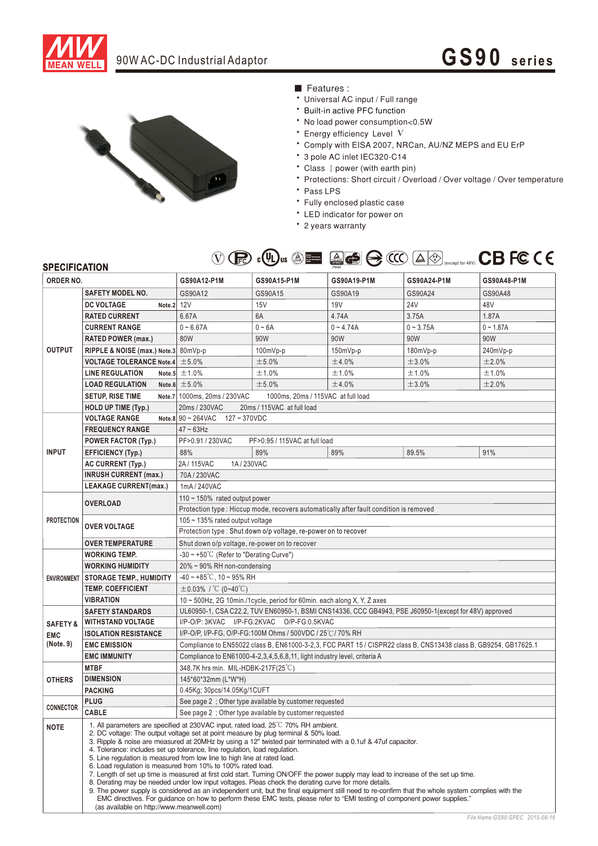

## 90W AC-DC Industrial Adaptor **GS90 series**



- Features :
- Universal AC input / Full range
- \* Built-in active PFC function
- No load power consumption<0.5W
- Energy efficiency Level V
- \* Comply with EISA 2007, NRCan, AU/NZ MEPS and EU ErP
- \* 3 pole AC inlet IEC320-C14
- Class I power (with earth pin)
- \* Protections: Short circuit / Overload / Over voltage / Over temperature
- Pass LPS
- Fully enclosed plastic case
- LED indicator for power on
- \* 2 years warranty



| <b>SPECIFICATION</b><br>ORDER NO. |                                                                                                                                                                                                                                                                                                                                                                                                                                                                                                                                                                                                                                                                                                                                                                                                                                                                                                                                                                                                                                                                                                                  | ◡<br>$\sqrt{2}$                                                                                                  | $\sim$ $\sim$<br>Concept of the concept of the con- |                 |             | $\sum_{\text{except for 48V}}$ $\sum_{\text{except for 48V}}$ |
|-----------------------------------|------------------------------------------------------------------------------------------------------------------------------------------------------------------------------------------------------------------------------------------------------------------------------------------------------------------------------------------------------------------------------------------------------------------------------------------------------------------------------------------------------------------------------------------------------------------------------------------------------------------------------------------------------------------------------------------------------------------------------------------------------------------------------------------------------------------------------------------------------------------------------------------------------------------------------------------------------------------------------------------------------------------------------------------------------------------------------------------------------------------|------------------------------------------------------------------------------------------------------------------|-----------------------------------------------------|-----------------|-------------|---------------------------------------------------------------|
|                                   |                                                                                                                                                                                                                                                                                                                                                                                                                                                                                                                                                                                                                                                                                                                                                                                                                                                                                                                                                                                                                                                                                                                  | GS90A12-P1M                                                                                                      | GS90A15-P1M                                         | GS90A19-P1M     | GS90A24-P1M | GS90A48-P1M                                                   |
| <b>OUTPUT</b>                     | <b>SAFETY MODEL NO.</b>                                                                                                                                                                                                                                                                                                                                                                                                                                                                                                                                                                                                                                                                                                                                                                                                                                                                                                                                                                                                                                                                                          | GS90A12                                                                                                          | GS90A15                                             | GS90A19         | GS90A24     | GS90A48                                                       |
|                                   | <b>DC VOLTAGE</b><br>Note.2 12V                                                                                                                                                                                                                                                                                                                                                                                                                                                                                                                                                                                                                                                                                                                                                                                                                                                                                                                                                                                                                                                                                  |                                                                                                                  | 15V                                                 | 19 <sub>V</sub> | 24V         | 48V                                                           |
|                                   | <b>RATED CURRENT</b>                                                                                                                                                                                                                                                                                                                                                                                                                                                                                                                                                                                                                                                                                                                                                                                                                                                                                                                                                                                                                                                                                             | 6.67A                                                                                                            | 6A                                                  | 4.74A           | 3.75A       | 1.87A                                                         |
|                                   | <b>CURRENT RANGE</b>                                                                                                                                                                                                                                                                                                                                                                                                                                                                                                                                                                                                                                                                                                                                                                                                                                                                                                                                                                                                                                                                                             | $0 - 6.67A$                                                                                                      | $0 - 6A$                                            | $0 - 4.74A$     | $0 - 3.75A$ | $0 - 1.87A$                                                   |
|                                   | RATED POWER (max.)                                                                                                                                                                                                                                                                                                                                                                                                                                                                                                                                                                                                                                                                                                                                                                                                                                                                                                                                                                                                                                                                                               | 80W                                                                                                              | 90W                                                 | 90W             | 90W         | 90W                                                           |
|                                   | RIPPLE & NOISE (max.) Note.3 80mVp-p                                                                                                                                                                                                                                                                                                                                                                                                                                                                                                                                                                                                                                                                                                                                                                                                                                                                                                                                                                                                                                                                             |                                                                                                                  | $100mVp-p$                                          | $150mVp-p$      | $180mVp-p$  | 240mVp-p                                                      |
|                                   | <b>VOLTAGE TOLERANCE Note.4</b> $\pm$ 5.0%                                                                                                                                                                                                                                                                                                                                                                                                                                                                                                                                                                                                                                                                                                                                                                                                                                                                                                                                                                                                                                                                       |                                                                                                                  | ±5.0%                                               | ±4.0%           | ±3.0%       | ±2.0%                                                         |
|                                   | <b>LINE REGULATION</b>                                                                                                                                                                                                                                                                                                                                                                                                                                                                                                                                                                                                                                                                                                                                                                                                                                                                                                                                                                                                                                                                                           | Note.5 $\pm$ 1.0%                                                                                                | ±1.0%                                               | ±1.0%           | ±1.0%       | ±1.0%                                                         |
|                                   | <b>LOAD REGULATION</b>                                                                                                                                                                                                                                                                                                                                                                                                                                                                                                                                                                                                                                                                                                                                                                                                                                                                                                                                                                                                                                                                                           | Note.6 $\pm 5.0\%$                                                                                               | ±5.0%                                               | ±4.0%           | ±3.0%       | ±2.0%                                                         |
|                                   | <b>SETUP, RISE TIME</b>                                                                                                                                                                                                                                                                                                                                                                                                                                                                                                                                                                                                                                                                                                                                                                                                                                                                                                                                                                                                                                                                                          | Note.7 1000ms, 20ms / 230VAC                                                                                     | 1000ms, 20ms / 115VAC at full load                  |                 |             |                                                               |
|                                   | <b>HOLD UP TIME (Typ.)</b>                                                                                                                                                                                                                                                                                                                                                                                                                                                                                                                                                                                                                                                                                                                                                                                                                                                                                                                                                                                                                                                                                       | 20ms / 230VAC<br>20ms / 115VAC at full load                                                                      |                                                     |                 |             |                                                               |
| <b>INPUT</b>                      | <b>VOLTAGE RANGE</b>                                                                                                                                                                                                                                                                                                                                                                                                                                                                                                                                                                                                                                                                                                                                                                                                                                                                                                                                                                                                                                                                                             | Note.8 $90 \sim 264$ VAC $127 \sim 370$ VDC                                                                      |                                                     |                 |             |                                                               |
|                                   | <b>FREQUENCY RANGE</b>                                                                                                                                                                                                                                                                                                                                                                                                                                                                                                                                                                                                                                                                                                                                                                                                                                                                                                                                                                                                                                                                                           | $47 \sim 63$ Hz                                                                                                  |                                                     |                 |             |                                                               |
|                                   | <b>POWER FACTOR (Typ.)</b>                                                                                                                                                                                                                                                                                                                                                                                                                                                                                                                                                                                                                                                                                                                                                                                                                                                                                                                                                                                                                                                                                       | PF>0.91 / 230VAC<br>PF>0.95 / 115VAC at full load                                                                |                                                     |                 |             |                                                               |
|                                   | <b>EFFICIENCY (Typ.)</b>                                                                                                                                                                                                                                                                                                                                                                                                                                                                                                                                                                                                                                                                                                                                                                                                                                                                                                                                                                                                                                                                                         | 88%                                                                                                              | 89%                                                 | 89%             | 89.5%       | 91%                                                           |
|                                   | <b>AC CURRENT (Typ.)</b>                                                                                                                                                                                                                                                                                                                                                                                                                                                                                                                                                                                                                                                                                                                                                                                                                                                                                                                                                                                                                                                                                         | 2A/115VAC<br>1A/230VAC                                                                                           |                                                     |                 |             |                                                               |
|                                   | <b>INRUSH CURRENT (max.)</b>                                                                                                                                                                                                                                                                                                                                                                                                                                                                                                                                                                                                                                                                                                                                                                                                                                                                                                                                                                                                                                                                                     | 70A/230VAC                                                                                                       |                                                     |                 |             |                                                               |
|                                   | <b>LEAKAGE CURRENT(max.)</b>                                                                                                                                                                                                                                                                                                                                                                                                                                                                                                                                                                                                                                                                                                                                                                                                                                                                                                                                                                                                                                                                                     | 1mA/240VAC                                                                                                       |                                                     |                 |             |                                                               |
| <b>PROTECTION</b>                 |                                                                                                                                                                                                                                                                                                                                                                                                                                                                                                                                                                                                                                                                                                                                                                                                                                                                                                                                                                                                                                                                                                                  | $110 \sim 150\%$ rated output power                                                                              |                                                     |                 |             |                                                               |
|                                   | <b>OVERLOAD</b>                                                                                                                                                                                                                                                                                                                                                                                                                                                                                                                                                                                                                                                                                                                                                                                                                                                                                                                                                                                                                                                                                                  | Protection type : Hiccup mode, recovers automatically after fault condition is removed                           |                                                     |                 |             |                                                               |
|                                   |                                                                                                                                                                                                                                                                                                                                                                                                                                                                                                                                                                                                                                                                                                                                                                                                                                                                                                                                                                                                                                                                                                                  | 105 ~ 135% rated output voltage                                                                                  |                                                     |                 |             |                                                               |
|                                   | OVER VOLTAGE                                                                                                                                                                                                                                                                                                                                                                                                                                                                                                                                                                                                                                                                                                                                                                                                                                                                                                                                                                                                                                                                                                     | Protection type : Shut down o/p voltage, re-power on to recover                                                  |                                                     |                 |             |                                                               |
|                                   | <b>OVER TEMPERATURE</b>                                                                                                                                                                                                                                                                                                                                                                                                                                                                                                                                                                                                                                                                                                                                                                                                                                                                                                                                                                                                                                                                                          | Shut down o/p voltage, re-power on to recover                                                                    |                                                     |                 |             |                                                               |
| <b>ENVIRONMENT</b>                | <b>WORKING TEMP.</b>                                                                                                                                                                                                                                                                                                                                                                                                                                                                                                                                                                                                                                                                                                                                                                                                                                                                                                                                                                                                                                                                                             | $-30 \sim +50^{\circ}$ C (Refer to "Derating Curve")                                                             |                                                     |                 |             |                                                               |
|                                   | <b>WORKING HUMIDITY</b>                                                                                                                                                                                                                                                                                                                                                                                                                                                                                                                                                                                                                                                                                                                                                                                                                                                                                                                                                                                                                                                                                          | 20% ~ 90% RH non-condensing                                                                                      |                                                     |                 |             |                                                               |
|                                   | <b>STORAGE TEMP., HUMIDITY</b>                                                                                                                                                                                                                                                                                                                                                                                                                                                                                                                                                                                                                                                                                                                                                                                                                                                                                                                                                                                                                                                                                   | $-40 \sim +85^{\circ}$ C, 10 ~ 95% RH                                                                            |                                                     |                 |             |                                                               |
|                                   | <b>TEMP. COEFFICIENT</b>                                                                                                                                                                                                                                                                                                                                                                                                                                                                                                                                                                                                                                                                                                                                                                                                                                                                                                                                                                                                                                                                                         | $\pm 0.03\%$ / °C (0~40°C)                                                                                       |                                                     |                 |             |                                                               |
|                                   | <b>VIBRATION</b>                                                                                                                                                                                                                                                                                                                                                                                                                                                                                                                                                                                                                                                                                                                                                                                                                                                                                                                                                                                                                                                                                                 | 10 ~ 500Hz, 2G 10min./1cycle, period for 60min. each along X, Y, Z axes                                          |                                                     |                 |             |                                                               |
|                                   | <b>SAFETY STANDARDS</b>                                                                                                                                                                                                                                                                                                                                                                                                                                                                                                                                                                                                                                                                                                                                                                                                                                                                                                                                                                                                                                                                                          | UL60950-1, CSA C22.2, TUV EN60950-1, BSMI CNS14336, CCC GB4943, PSE J60950-1(except for 48V) approved            |                                                     |                 |             |                                                               |
| <b>SAFETY &amp;</b>               | <b>WITHSTAND VOLTAGE</b>                                                                                                                                                                                                                                                                                                                                                                                                                                                                                                                                                                                                                                                                                                                                                                                                                                                                                                                                                                                                                                                                                         | I/P-O/P: 3KVAC I/P-FG:2KVAC O/P-FG:0.5KVAC<br>I/P-O/P, I/P-FG, O/P-FG:100M Ohms / 500VDC / 25℃/ 70% RH           |                                                     |                 |             |                                                               |
| <b>EMC</b>                        | <b>ISOLATION RESISTANCE</b>                                                                                                                                                                                                                                                                                                                                                                                                                                                                                                                                                                                                                                                                                                                                                                                                                                                                                                                                                                                                                                                                                      |                                                                                                                  |                                                     |                 |             |                                                               |
| (Note. 9)                         | <b>EMC EMISSION</b>                                                                                                                                                                                                                                                                                                                                                                                                                                                                                                                                                                                                                                                                                                                                                                                                                                                                                                                                                                                                                                                                                              | Compliance to EN55022 class B, EN61000-3-2,3, FCC PART 15 / CISPR22 class B, CNS13438 class B, GB9254, GB17625.1 |                                                     |                 |             |                                                               |
|                                   | <b>EMC IMMUNITY</b>                                                                                                                                                                                                                                                                                                                                                                                                                                                                                                                                                                                                                                                                                                                                                                                                                                                                                                                                                                                                                                                                                              | Compliance to EN61000-4-2,3,4,5,6,8,11, light industry level, criteria A                                         |                                                     |                 |             |                                                               |
| <b>OTHERS</b>                     | <b>MTBF</b>                                                                                                                                                                                                                                                                                                                                                                                                                                                                                                                                                                                                                                                                                                                                                                                                                                                                                                                                                                                                                                                                                                      | 348.7K hrs min. MIL-HDBK-217F(25°C)                                                                              |                                                     |                 |             |                                                               |
|                                   | <b>DIMENSION</b>                                                                                                                                                                                                                                                                                                                                                                                                                                                                                                                                                                                                                                                                                                                                                                                                                                                                                                                                                                                                                                                                                                 | 145*60*32mm (L*W*H)                                                                                              |                                                     |                 |             |                                                               |
|                                   | <b>PACKING</b>                                                                                                                                                                                                                                                                                                                                                                                                                                                                                                                                                                                                                                                                                                                                                                                                                                                                                                                                                                                                                                                                                                   | 0.45Kg; 30pcs/14.05Kg/1CUFT                                                                                      |                                                     |                 |             |                                                               |
| <b>CONNECTOR</b>                  | <b>PLUG</b>                                                                                                                                                                                                                                                                                                                                                                                                                                                                                                                                                                                                                                                                                                                                                                                                                                                                                                                                                                                                                                                                                                      | See page 2 ; Other type available by customer requested                                                          |                                                     |                 |             |                                                               |
|                                   | CABLE                                                                                                                                                                                                                                                                                                                                                                                                                                                                                                                                                                                                                                                                                                                                                                                                                                                                                                                                                                                                                                                                                                            | See page 2 ; Other type available by customer requested                                                          |                                                     |                 |             |                                                               |
| <b>NOTE</b>                       | 1. All parameters are specified at 230VAC input, rated load, 25 <sup>°</sup> C 70% RH ambient.<br>2. DC voltage: The output voltage set at point measure by plug terminal & 50% load.<br>3. Ripple & noise are measured at 20MHz by using a 12" twisted pair terminated with a 0.1 uf & 47 uf capacitor.<br>4. Tolerance: includes set up tolerance, line regulation, load regulation.<br>5. Line regulation is measured from low line to high line at rated load.<br>6. Load regulation is measured from 10% to 100% rated load.<br>7. Length of set up time is measured at first cold start. Turning ON/OFF the power supply may lead to increase of the set up time.<br>8. Derating may be needed under low input voltages. Pleas check the derating curve for more details.<br>9. The power supply is considered as an independent unit, but the final equipment still need to re-confirm that the whole system complies with the<br>EMC directives. For guidance on how to perform these EMC tests, please refer to "EMI testing of component power supplies."<br>(as available on http://www.meanwell.com) |                                                                                                                  |                                                     |                 |             |                                                               |